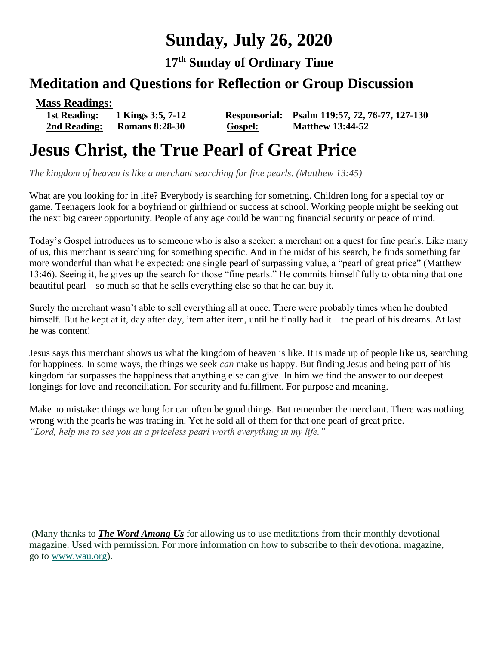# **Sunday, July 26, 2020**

**17 th Sunday of Ordinary Time**

# **Meditation and Questions for Reflection or Group Discussion**

**Mass Readings:** 

**2nd Reading: Romans 8:28-30 Gospel: Matthew 13:44-52**

 **1st Reading: 1 Kings 3:5, 7-12 Responsorial: Psalm 119:57, 72, 76-77, 127-130**

# **Jesus Christ, the True Pearl of Great Price**

*The kingdom of heaven is like a merchant searching for fine pearls. (Matthew 13:45)*

What are you looking for in life? Everybody is searching for something. Children long for a special toy or game. Teenagers look for a boyfriend or girlfriend or success at school. Working people might be seeking out the next big career opportunity. People of any age could be wanting financial security or peace of mind.

Today's Gospel introduces us to someone who is also a seeker: a merchant on a quest for fine pearls. Like many of us, this merchant is searching for something specific. And in the midst of his search, he finds something far more wonderful than what he expected: one single pearl of surpassing value, a "pearl of great price" (Matthew 13:46). Seeing it, he gives up the search for those "fine pearls." He commits himself fully to obtaining that one beautiful pearl—so much so that he sells everything else so that he can buy it.

Surely the merchant wasn't able to sell everything all at once. There were probably times when he doubted himself. But he kept at it, day after day, item after item, until he finally had it—the pearl of his dreams. At last he was content!

Jesus says this merchant shows us what the kingdom of heaven is like. It is made up of people like us, searching for happiness. In some ways, the things we seek *can* make us happy. But finding Jesus and being part of his kingdom far surpasses the happiness that anything else can give. In him we find the answer to our deepest longings for love and reconciliation. For security and fulfillment. For purpose and meaning.

Make no mistake: things we long for can often be good things. But remember the merchant. There was nothing wrong with the pearls he was trading in. Yet he sold all of them for that one pearl of great price. *"Lord, help me to see you as a priceless pearl worth everything in my life."*

(Many thanks to *[The Word Among Us](http://www.wau.org/)* for allowing us to use meditations from their monthly devotional magazine. Used with permission. For more information on how to subscribe to their devotional magazine, go to [www.wau.org\)](http://www.wau.org/).